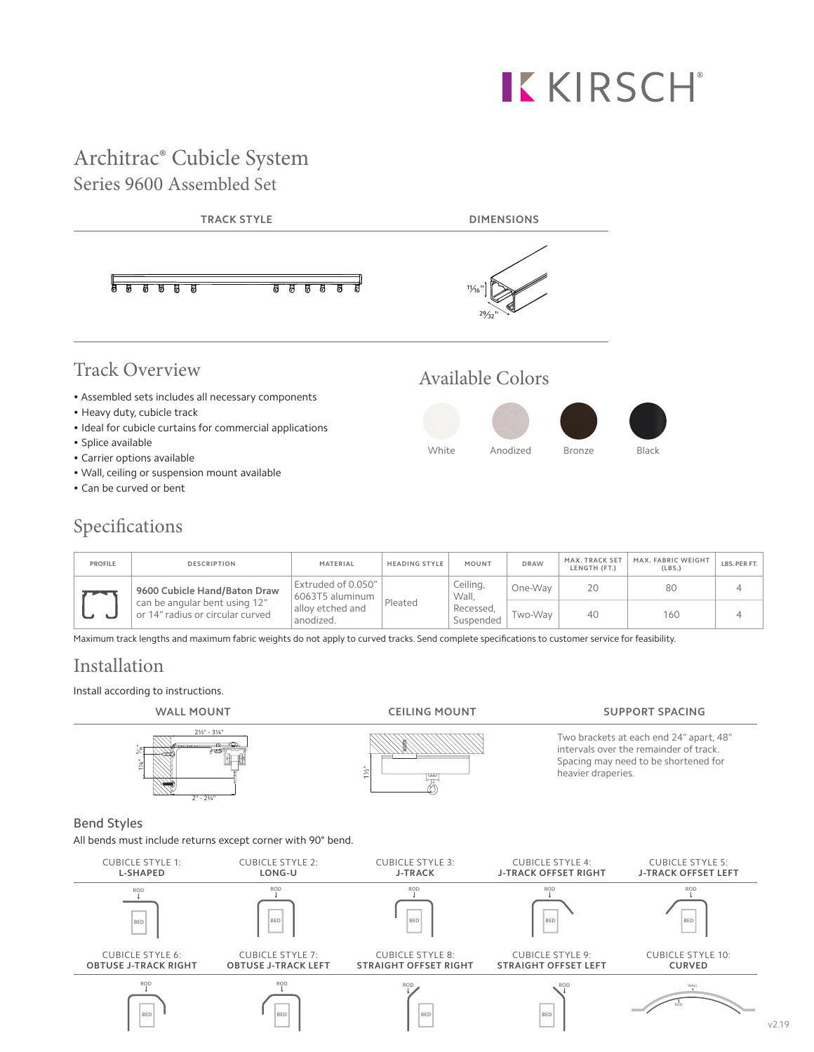# **KKIRSCH**®

### Architrac® Cubicle System Series 9600 Assembled Set



#### Specifications

| PROFILE        | <b>DESCRIPTION</b>                                                                                | MATERIAL                                                                          | <b>HEADING STYLE</b> | MOUNT                                       | <b>DRAW</b> | MAX. TRACK SET<br>LENGTH (FT.) | MAX. FABRIC WEIGHT<br>(LBS.) | LBS. PER FT. |
|----------------|---------------------------------------------------------------------------------------------------|-----------------------------------------------------------------------------------|----------------------|---------------------------------------------|-------------|--------------------------------|------------------------------|--------------|
| $\overline{1}$ | 9600 Cubicle Hand/Baton Draw<br>can be angular bent using 12"<br>or 14" radius or circular curved | Extruded of 0.050"<br>6063T5 aluminum<br>Pleated<br>allov etched and<br>anodized. |                      | Ceiling,<br>Wall.<br>Recessed,<br>Suspended | One-Way     | 20                             | 80                           |              |
|                |                                                                                                   |                                                                                   |                      |                                             | Two-Way     | 40                             | 160                          |              |

Maximum track lengths and maximum fabric weights do not apply to curved tracks. Send complete specifications to customer service for feasibility.

#### Installation

Install according to instructions.

ROD ROD ROD ROD ROD

ROD ROD ROD ROD ROD

ROD ROD ROD ROD ROD

ROD ROD ROD ROD ROD

BED BED BED BED BED

BED BED BED BED BED

BED BED BED BED BED

BED BED BED BED BED



ROD WALL